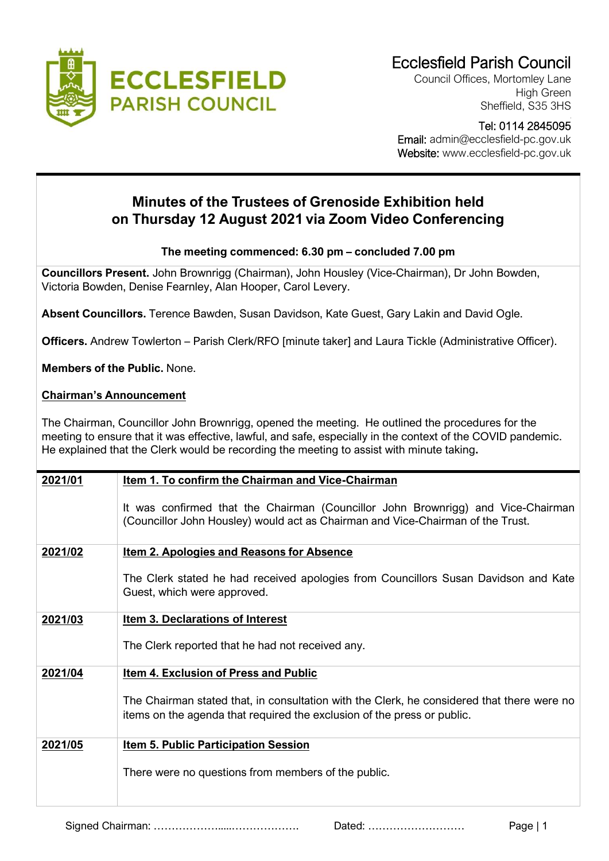

Council Offices, Mortomley Lane High Green Sheffield, S35 3HS

## Tel: 0114 2845095

 Email: admin@ecclesfield-pc.gov.uk Website: www.ecclesfield-pc.gov.uk

## **Minutes of the Trustees of Grenoside Exhibition held on Thursday 12 August 2021 via Zoom Video Conferencing**

## **The meeting commenced: 6.30 pm – concluded 7.00 pm**

**Councillors Present.** John Brownrigg (Chairman), John Housley (Vice-Chairman), Dr John Bowden, Victoria Bowden, Denise Fearnley, Alan Hooper, Carol Levery.

**Absent Councillors.** Terence Bawden, Susan Davidson, Kate Guest, Gary Lakin and David Ogle.

**Officers.** Andrew Towlerton – Parish Clerk/RFO [minute taker] and Laura Tickle (Administrative Officer).

**Members of the Public.** None.

## **Chairman's Announcement**

The Chairman, Councillor John Brownrigg, opened the meeting. He outlined the procedures for the meeting to ensure that it was effective, lawful, and safe, especially in the context of the COVID pandemic. He explained that the Clerk would be recording the meeting to assist with minute taking**.**

| 2021/01 | Item 1. To confirm the Chairman and Vice-Chairman                                                                                                                     |
|---------|-----------------------------------------------------------------------------------------------------------------------------------------------------------------------|
|         | It was confirmed that the Chairman (Councillor John Brownrigg) and Vice-Chairman<br>(Councillor John Housley) would act as Chairman and Vice-Chairman of the Trust.   |
| 2021/02 | <b>Item 2. Apologies and Reasons for Absence</b>                                                                                                                      |
|         | The Clerk stated he had received apologies from Councillors Susan Davidson and Kate<br>Guest, which were approved.                                                    |
| 2021/03 | <b>Item 3. Declarations of Interest</b>                                                                                                                               |
|         | The Clerk reported that he had not received any.                                                                                                                      |
| 2021/04 | Item 4. Exclusion of Press and Public                                                                                                                                 |
|         | The Chairman stated that, in consultation with the Clerk, he considered that there were no<br>items on the agenda that required the exclusion of the press or public. |
| 2021/05 | <b>Item 5. Public Participation Session</b>                                                                                                                           |
|         | There were no questions from members of the public.                                                                                                                   |
|         |                                                                                                                                                                       |

Signed Chairman: ……………….....………………. Dated: ……………………… Page | 1